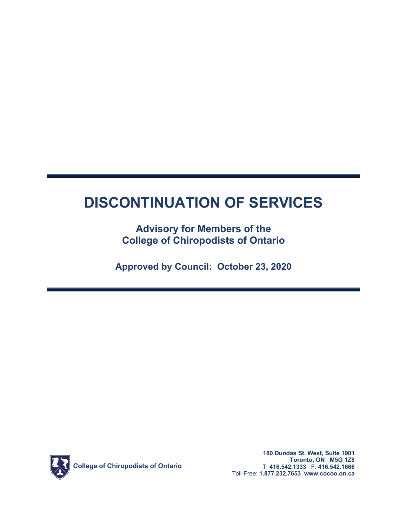# **DISCONTINUATION OF SERVICES**

# **Advisory for Members of the College of Chiropodists of Ontario**

**Approved by Council: October 23, 2020**



**180 Dundas St. West, Suite 1901 Toronto, ON M5G 1Z8** T: **416.542.1333** F: **416.542.1666** Toll-Free: **1.877.232.7653 <www.cocoo.on.ca>**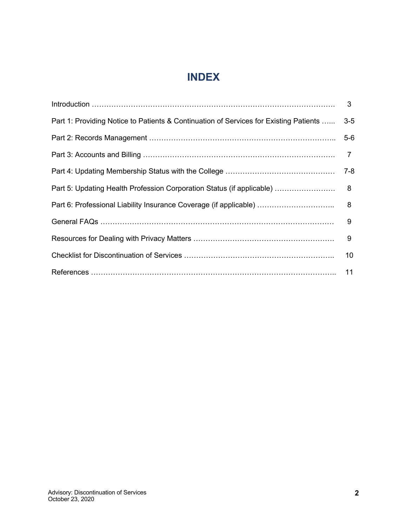# **INDEX**

|                                                                                       | $\mathbf{3}$ |
|---------------------------------------------------------------------------------------|--------------|
| Part 1: Providing Notice to Patients & Continuation of Services for Existing Patients | $3-5$        |
|                                                                                       | $5-6$        |
|                                                                                       |              |
|                                                                                       | $7 - 8$      |
| Part 5: Updating Health Profession Corporation Status (if applicable)                 | 8            |
| Part 6: Professional Liability Insurance Coverage (if applicable)                     | 8            |
|                                                                                       | 9            |
|                                                                                       | 9            |
|                                                                                       | 10           |
|                                                                                       | 11           |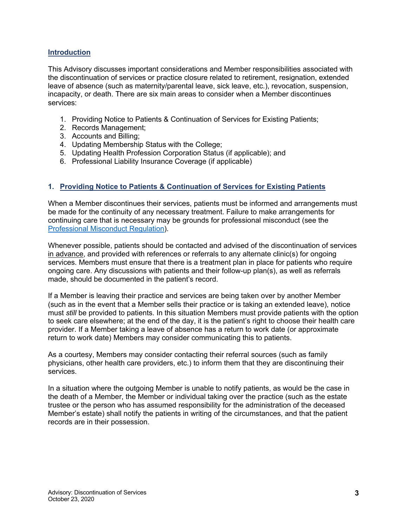## **Introduction**

This Advisory discusses important considerations and Member responsibilities associated with the discontinuation of services or practice closure related to retirement, resignation, extended leave of absence (such as maternity/parental leave, sick leave, etc.), revocation, suspension, incapacity, or death. There are six main areas to consider when a Member discontinues services:

- 1. Providing Notice to Patients & Continuation of Services for Existing Patients;
- 2. Records Management;
- 3. Accounts and Billing;
- 4. Updating Membership Status with the College;
- 5. Updating Health Profession Corporation Status (if applicable); and
- 6. Professional Liability Insurance Coverage (if applicable)

### **1. Providing Notice to Patients & Continuation of Services for Existing Patients**

When a Member discontinues their services, patients must be informed and arrangements must be made for the continuity of any necessary treatment. Failure to make arrangements for continuing care that is necessary may be grounds for professional misconduct (see the [Professional Misconduct Regulation\)](https://www.ontario.ca/laws/regulation/930750).

Whenever possible, patients should be contacted and advised of the discontinuation of services in advance, and provided with references or referrals to any alternate clinic(s) for ongoing services. Members must ensure that there is a treatment plan in place for patients who require ongoing care. Any discussions with patients and their follow-up plan(s), as well as referrals made, should be documented in the patient's record.

If a Member is leaving their practice and services are being taken over by another Member (such as in the event that a Member sells their practice or is taking an extended leave), notice must *still* be provided to patients. In this situation Members must provide patients with the option to seek care elsewhere; at the end of the day, it is the patient's right to choose their health care provider. If a Member taking a leave of absence has a return to work date (or approximate return to work date) Members may consider communicating this to patients.

As a courtesy, Members may consider contacting their referral sources (such as family physicians, other health care providers, etc.) to inform them that they are discontinuing their services.

In a situation where the outgoing Member is unable to notify patients, as would be the case in the death of a Member, the Member or individual taking over the practice (such as the estate trustee or the person who has assumed responsibility for the administration of the deceased Member's estate) shall notify the patients in writing of the circumstances, and that the patient records are in their possession.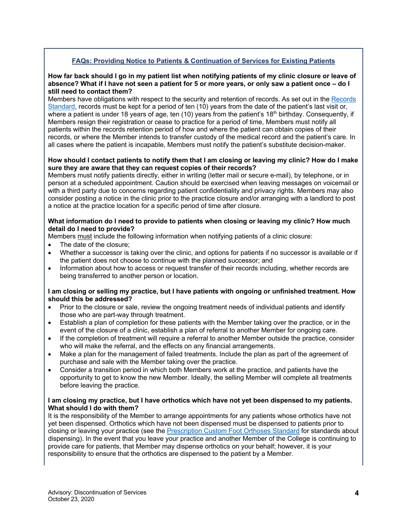# **FAQs: Providing Notice to Patients & Continuation of Services for Existing Patients**

#### **How far back should I go in my patient list when notifying patients of my clinic closure or leave of absence? What if I have not seen a patient for 5 or more years, or only saw a patient once – do I still need to contact them?**

Members have obligations with respect to the security and retention of records. As set out in the [Records](http://www.cocoo.on.ca/pdf/standards/standards_records.pdf)  [Standard,](http://www.cocoo.on.ca/pdf/standards/standards_records.pdf) records must be kept for a period of ten (10) years from the date of the patient's last visit or, where a patient is under 18 years of age, ten (10) years from the patient's 18<sup>th</sup> birthday. Consequently, if Members resign their registration or cease to practice for a period of time, Members must notify all patients within the records retention period of how and where the patient can obtain copies of their records, or where the Member intends to transfer custody of the medical record and the patient's care. In all cases where the patient is incapable, Members must notify the patient's substitute decision-maker.

#### **How should I contact patients to notify them that I am closing or leaving my clinic? How do I make sure they are aware that they can request copies of their records?**

Members must notify patients directly, either in writing (letter mail or secure e-mail), by telephone, or in person at a scheduled appointment. Caution should be exercised when leaving messages on voicemail or with a third party due to concerns regarding patient confidentiality and privacy rights. Members may also consider posting a notice in the clinic prior to the practice closure and/or arranging with a landlord to post a notice at the practice location for a specific period of time after closure.

#### **What information do I need to provide to patients when closing or leaving my clinic? How much detail do I need to provide?**

Members must include the following information when notifying patients of a clinic closure:

- The date of the closure;
- Whether a successor is taking over the clinic, and options for patients if no successor is available or if the patient does not choose to continue with the planned successor; and
- Information about how to access or request transfer of their records including, whether records are being transferred to another person or location.

#### **I am closing or selling my practice, but I have patients with ongoing or unfinished treatment. How should this be addressed?**

- Prior to the closure or sale, review the ongoing treatment needs of individual patients and identify those who are part-way through treatment.
- Establish a plan of completion for these patients with the Member taking over the practice, or in the event of the closure of a clinic, establish a plan of referral to another Member for ongoing care.
- If the completion of treatment will require a referral to another Member outside the practice, consider who will make the referral, and the effects on any financial arrangements.
- Make a plan for the management of failed treatments. Include the plan as part of the agreement of purchase and sale with the Member taking over the practice.
- Consider a transition period in which both Members work at the practice, and patients have the opportunity to get to know the new Member. Ideally, the selling Member will complete all treatments before leaving the practice.

#### **I am closing my practice, but I have orthotics which have not yet been dispensed to my patients. What should I do with them?**

It is the responsibility of the Member to arrange appointments for any patients whose orthotics have not yet been dispensed. Orthotics which have not been dispensed must be dispensed to patients prior to closing or leaving your practice (see the [Prescription Custom Foot Orthoses Standard](http://www.cocoo.on.ca/pdf/standards/standard_orthotics.pdf) for standards about dispensing). In the event that you leave your practice and another Member of the College is continuing to provide care for patients, that Member may dispense orthotics on your behalf; however, it is your responsibility to ensure that the orthotics are dispensed to the patient by a Member.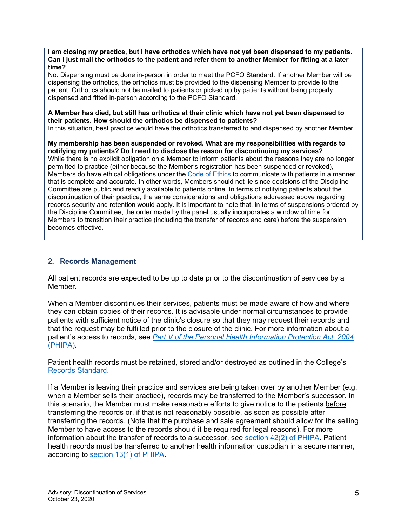**I am closing my practice, but I have orthotics which have not yet been dispensed to my patients. Can I just mail the orthotics to the patient and refer them to another Member for fitting at a later time?**

No. Dispensing must be done in-person in order to meet the PCFO Standard. If another Member will be dispensing the orthotics, the orthotics must be provided to the dispensing Member to provide to the patient. Orthotics should not be mailed to patients or picked up by patients without being properly dispensed and fitted in-person according to the PCFO Standard.

#### **A Member has died, but still has orthotics at their clinic which have not yet been dispensed to their patients. How should the orthotics be dispensed to patients?**

In this situation, best practice would have the orthotics transferred to and dispensed by another Member.

**My membership has been suspended or revoked. What are my responsibilities with regards to notifying my patients? Do I need to disclose the reason for discontinuing my services?** While there is no explicit obligation on a Member to inform patients about the reasons they are no longer permitted to practice (either because the Member's registration has been suspended or revoked), Members do have ethical obligations under the [Code of Ethics](http://cocoo.on.ca/code-of-ethics/) to communicate with patients in a manner that is complete and accurate. In other words, Members should not lie since decisions of the Discipline Committee are public and readily available to patients online. In terms of notifying patients about the discontinuation of their practice, the same considerations and obligations addressed above regarding records security and retention would apply. It is important to note that, in terms of suspensions ordered by the Discipline Committee, the order made by the panel usually incorporates a window of time for Members to transition their practice (including the transfer of records and care) before the suspension becomes effective.

# **2. Records Management**

All patient records are expected to be up to date prior to the discontinuation of services by a Member.

When a Member discontinues their services, patients must be made aware of how and where they can obtain copies of their records. It is advisable under normal circumstances to provide patients with sufficient notice of the clinic's closure so that they may request their records and that the request may be fulfilled prior to the closure of the clinic. For more information about a patient's access to records, see *[Part V of the Personal Health Information Protection Act, 2004](https://www.ontario.ca/laws/statute/04p03#BK69)*  [\(PHIPA\).](https://www.ontario.ca/laws/statute/04p03#BK69)

Patient health records must be retained, stored and/or destroyed as outlined in the College's [Records Standard.](http://www.cocoo.on.ca/pdf/standards/standards_records.pdf)

If a Member is leaving their practice and services are being taken over by another Member (e.g. when a Member sells their practice), records may be transferred to the Member's successor. In this scenario, the Member must make reasonable efforts to give notice to the patients before transferring the records or, if that is not reasonably possible, as soon as possible after transferring the records. (Note that the purchase and sale agreement should allow for the selling Member to have access to the records should it be required for legal reasons). For more information about the transfer of records to a successor, see section [42\(2\) of PHIPA.](https://www.ontario.ca/laws/statute/04p03#BK60) Patient health records must be transferred to another health information custodian in a secure manner, according to [section 13\(1\) of PHIPA.](https://www.ontario.ca/laws/statute/04p03#BK21)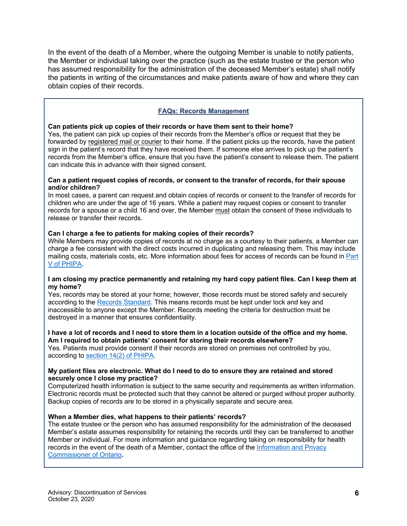In the event of the death of a Member, where the outgoing Member is unable to notify patients, the Member or individual taking over the practice (such as the estate trustee or the person who has assumed responsibility for the administration of the deceased Member's estate) shall notify the patients in writing of the circumstances and make patients aware of how and where they can obtain copies of their records.

# **FAQs: Records Management**

#### **Can patients pick up copies of their records or have them sent to their home?**

Yes, the patient can pick up copies of their records from the Member's office or request that they be forwarded by registered mail or courier to their home. If the patient picks up the records, have the patient sign in the patient's record that they have received them. If someone else arrives to pick up the patient's records from the Member's office, ensure that you have the patient's consent to release them. The patient can indicate this in advance with their signed consent.

#### **Can a patient request copies of records, or consent to the transfer of records, for their spouse and/or children?**

In most cases, a parent can request and obtain copies of records or consent to the transfer of records for children who are under the age of 16 years. While a patient may request copies or consent to transfer records for a spouse or a child 16 and over, the Member must obtain the consent of these individuals to release or transfer their records.

#### **Can I charge a fee to patients for making copies of their records?**

While Members may provide copies of records at no charge as a courtesy to their patients, a Member can charge a fee consistent with the direct costs incurred in duplicating and releasing them. This may include mailing costs, materials costs, etc. More information about fees for access of records can be found in [Part](https://www.ontario.ca/laws/statute/04p03#BK69)  [V of PHIPA.](https://www.ontario.ca/laws/statute/04p03#BK69)

#### **I am closing my practice permanently and retaining my hard copy patient files. Can I keep them at my home?**

Yes, records may be stored at your home; however, those records must be stored safely and securely according to the [Records Standard.](http://www.cocoo.on.ca/pdf/standards/standards_records.pdf) This means records must be kept under lock and key and inaccessible to anyone except the Member. Records meeting the criteria for destruction must be destroyed in a manner that ensures confidentiality.

#### **I have a lot of records and I need to store them in a location outside of the office and my home. Am I required to obtain patients' consent for storing their records elsewhere?**

Yes. Patients must provide consent if their records are stored on premises not controlled by you, according to [section 14\(2\)](https://www.ontario.ca/laws/statute/04p03#BK22) of PHIPA.

#### **My patient files are electronic. What do I need to do to ensure they are retained and stored securely once I close my practice?**

Computerized health information is subject to the same security and requirements as written information. Electronic records must be protected such that they cannot be altered or purged without proper authority. Backup copies of records are to be stored in a physically separate and secure area.

#### **When a Member dies, what happens to their patients' records?**

The estate trustee or the person who has assumed responsibility for the administration of the deceased Member's estate assumes responsibility for retaining the records until they can be transferred to another Member or individual. For more information and guidance regarding taking on responsibility for health records in the event of the death of a Member, contact the office of the [Information and Privacy](https://www.ipc.on.ca/about-us/contact-us/)  [Commissioner of Ontario](https://www.ipc.on.ca/about-us/contact-us/)**.**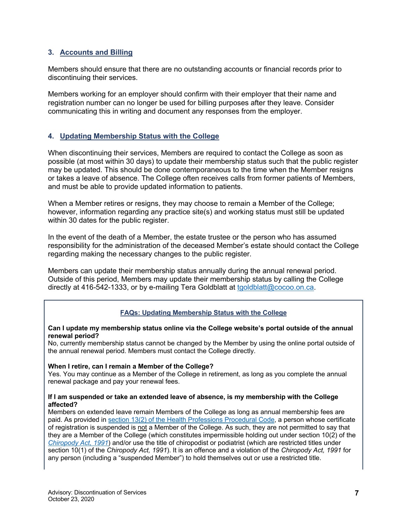# **3. Accounts and Billing**

Members should ensure that there are no outstanding accounts or financial records prior to discontinuing their services.

Members working for an employer should confirm with their employer that their name and registration number can no longer be used for billing purposes after they leave. Consider communicating this in writing and document any responses from the employer.

# **4. Updating Membership Status with the College**

When discontinuing their services, Members are required to contact the College as soon as possible (at most within 30 days) to update their membership status such that the public register may be updated. This should be done contemporaneous to the time when the Member resigns or takes a leave of absence. The College often receives calls from former patients of Members, and must be able to provide updated information to patients.

When a Member retires or resigns, they may choose to remain a Member of the College; however, information regarding any practice site(s) and working status must still be updated within 30 dates for the public register.

In the event of the death of a Member, the estate trustee or the person who has assumed responsibility for the administration of the deceased Member's estate should contact the College regarding making the necessary changes to the public register.

Members can update their membership status annually during the annual renewal period. Outside of this period, Members may update their membership status by calling the College directly at 416-542-1333, or by e-mailing Tera Goldblatt at [tgoldblatt@cocoo.on.ca.](mailto:tgoldblatt@cocoo.on.ca)

# **FAQs: Updating Membership Status with the College**

#### **Can I update my membership status online via the College website's portal outside of the annual renewal period?**

No, currently membership status cannot be changed by the Member by using the online portal outside of the annual renewal period. Members must contact the College directly.

#### **When I retire, can I remain a Member of the College?**

Yes. You may continue as a Member of the College in retirement, as long as you complete the annual renewal package and pay your renewal fees.

#### **If I am suspended or take an extended leave of absence, is my membership with the College affected?**

Members on extended leave remain Members of the College as long as annual membership fees are paid. As provided in [section 13\(2\) of the Health Professions Procedural Code,](https://www.ontario.ca/laws/statute/91r18#BK70) a person whose certificate of registration is suspended is not a Member of the College. As such, they are not permitted to say that they are a Member of the College (which constitutes impermissible holding out under section 10(2) of the *[Chiropody Act, 1991](https://www.ontario.ca/laws/statute/91c20)*) and/or use the title of chiropodist or podiatrist (which are restricted titles under section 10(1) of the *Chiropody Act, 1991*). It is an offence and a violation of the *Chiropody Act, 1991* for any person (including a "suspended Member") to hold themselves out or use a restricted title.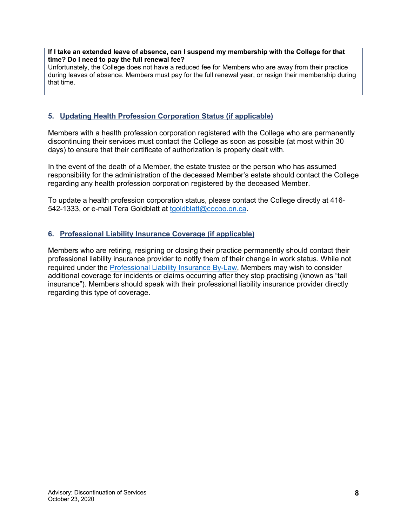#### **If I take an extended leave of absence, can I suspend my membership with the College for that time? Do I need to pay the full renewal fee?**

Unfortunately, the College does not have a reduced fee for Members who are away from their practice during leaves of absence. Members must pay for the full renewal year, or resign their membership during that time.

# **5. Updating Health Profession Corporation Status (if applicable)**

Members with a health profession corporation registered with the College who are permanently discontinuing their services must contact the College as soon as possible (at most within 30 days) to ensure that their certificate of authorization is properly dealt with.

In the event of the death of a Member, the estate trustee or the person who has assumed responsibility for the administration of the deceased Member's estate should contact the College regarding any health profession corporation registered by the deceased Member.

To update a health profession corporation status, please contact the College directly at 416- 542-1333, or e-mail Tera Goldblatt at [tgoldblatt@cocoo.on.ca.](mailto:tgoldblatt@cocoo.on.ca)

# **6. Professional Liability Insurance Coverage (if applicable)**

Members who are retiring, resigning or closing their practice permanently should contact their professional liability insurance provider to notify them of their change in work status. While not required under the [Professional Liability Insurance By-Law,](http://cocoo.on.ca/professional-liability-insurance/) Members may wish to consider additional coverage for incidents or claims occurring after they stop practising (known as "tail insurance"). Members should speak with their professional liability insurance provider directly regarding this type of coverage.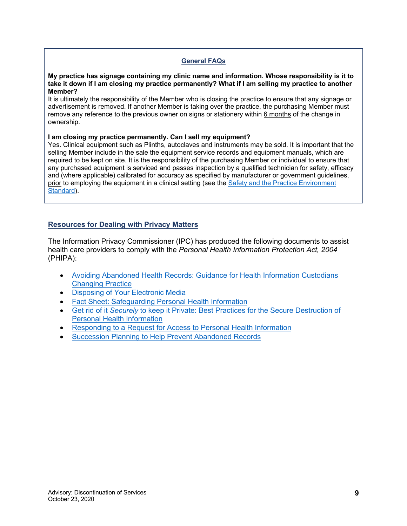### **General FAQs**

#### **My practice has signage containing my clinic name and information. Whose responsibility is it to take it down if I am closing my practice permanently? What if I am selling my practice to another Member?**

It is ultimately the responsibility of the Member who is closing the practice to ensure that any signage or advertisement is removed. If another Member is taking over the practice, the purchasing Member must remove any reference to the previous owner on signs or stationery within 6 months of the change in ownership.

#### **I am closing my practice permanently. Can I sell my equipment?**

Yes. Clinical equipment such as Plinths, autoclaves and instruments may be sold. It is important that the selling Member include in the sale the equipment service records and equipment manuals, which are required to be kept on site. It is the responsibility of the purchasing Member or individual to ensure that any purchased equipment is serviced and passes inspection by a qualified technician for safety, efficacy and (where applicable) calibrated for accuracy as specified by manufacturer or government guidelines, prior to employing the equipment in a clinical setting (see the Safety and the Practice Environment [Standard\).](http://cocoo.on.ca/standards-of-practice/)

# **Resources for Dealing with Privacy Matters**

The Information Privacy Commissioner (IPC) has produced the following documents to assist health care providers to comply with the *Personal Health Information Protection Act, 2004* (PHIPA):

- [Avoiding Abandoned Health Records: Guidance for Health Information Custodians](https://www.ipc.on.ca/wp-content/uploads/2019/02/avoiding-abandoned-health-records-e.pdf)  [Changing Practice](https://www.ipc.on.ca/wp-content/uploads/2019/02/avoiding-abandoned-health-records-e.pdf)
- [Disposing of Your Electronic Media](https://www.ipc.on.ca/wp-content/uploads/2018/03/fs-tech-disposing-of-your-electronic-media-003.pdf)
- [Fact Sheet: Safeguarding Personal Health Information](https://www.ipc.on.ca/wp-content/uploads/Resources/fact-01-e.pdf)
- Get rid of it *Securely* [to keep it Private: Best Practices for the Secure Destruction of](https://www.ipc.on.ca/wp-content/uploads/Resources/naid.pdf)  [Personal Health Information](https://www.ipc.on.ca/wp-content/uploads/Resources/naid.pdf)
- [Responding to a Request for Access to Personal Health Information](https://www.ipc.on.ca/wp-content/uploads/2017/02/2017-he-pd-02-e.pdf)
- [Succession Planning to Help Prevent Abandoned Records](https://www.ipc.on.ca/wp-content/uploads/2019/04/fs-health-abandoned_rec.pdf)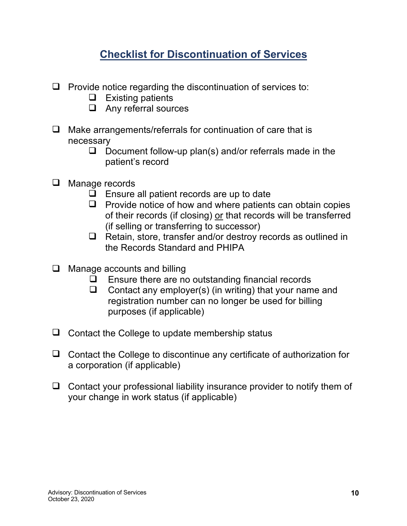# **Checklist for Discontinuation of Services**

- $\Box$  Provide notice regarding the discontinuation of services to:
	- $\Box$  Existing patients
	- $\Box$  Any referral sources
- $\Box$  Make arrangements/referrals for continuation of care that is necessary
	- $\Box$  Document follow-up plan(s) and/or referrals made in the patient's record
- $\Box$  Manage records
	- $\Box$  Ensure all patient records are up to date
	- $\Box$  Provide notice of how and where patients can obtain copies of their records (if closing) or that records will be transferred (if selling or transferring to successor)
	- $\Box$  Retain, store, transfer and/or destroy records as outlined in the Records Standard and PHIPA
- $\Box$  Manage accounts and billing
	- $\Box$  Ensure there are no outstanding financial records
	- $\Box$  Contact any employer(s) (in writing) that your name and registration number can no longer be used for billing purposes (if applicable)
- $\Box$  Contact the College to update membership status
- $\Box$  Contact the College to discontinue any certificate of authorization for a corporation (if applicable)
- $\Box$  Contact your professional liability insurance provider to notify them of your change in work status (if applicable)